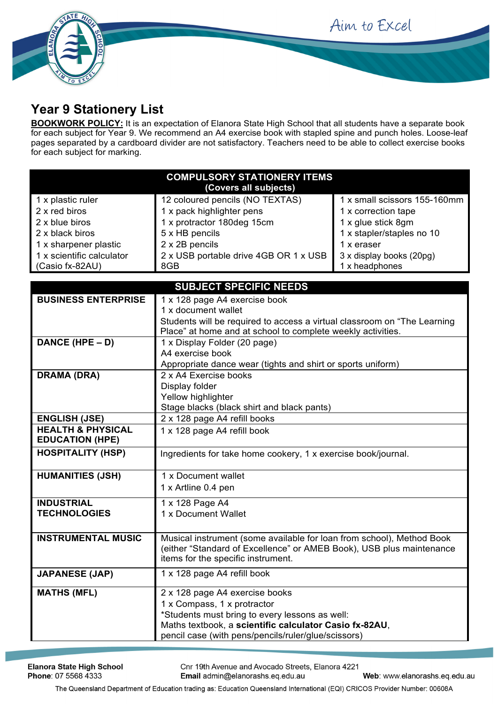Aim to Excel



## **Year 9 Stationery List**

**BOOKWORK POLICY:** It is an expectation of Elanora State High School that all students have a separate book for each subject for Year 9. We recommend an A4 exercise book with stapled spine and punch holes. Loose-leaf pages separated by a cardboard divider are not satisfactory. Teachers need to be able to collect exercise books for each subject for marking.

| <b>COMPULSORY STATIONERY ITEMS</b><br>(Covers all subjects)                                                                                      |                                                                                                                                                                                                                                  |                                                                                                                                                                    |  |  |
|--------------------------------------------------------------------------------------------------------------------------------------------------|----------------------------------------------------------------------------------------------------------------------------------------------------------------------------------------------------------------------------------|--------------------------------------------------------------------------------------------------------------------------------------------------------------------|--|--|
| 1 x plastic ruler<br>2 x red biros<br>2 x blue biros<br>2 x black biros<br>1 x sharpener plastic<br>1 x scientific calculator<br>(Casio fx-82AU) | 12 coloured pencils (NO TEXTAS)<br>1 x pack highlighter pens<br>1 x protractor 180deg 15cm<br>5 x HB pencils<br>2 x 2B pencils<br>2 x USB portable drive 4GB OR 1 x USB<br>8GB                                                   | 1 x small scissors 155-160mm<br>1 x correction tape<br>1 x glue stick 8gm<br>1 x stapler/staples no 10<br>1 x eraser<br>3 x display books (20pg)<br>1 x headphones |  |  |
|                                                                                                                                                  |                                                                                                                                                                                                                                  |                                                                                                                                                                    |  |  |
| <b>BUSINESS ENTERPRISE</b>                                                                                                                       | <b>SUBJECT SPECIFIC NEEDS</b><br>1 x 128 page A4 exercise book<br>1 x document wallet<br>Students will be required to access a virtual classroom on "The Learning<br>Place" at home and at school to complete weekly activities. |                                                                                                                                                                    |  |  |
| DANCE (HPE - D)                                                                                                                                  | 1 x Display Folder (20 page)<br>A4 exercise book<br>Appropriate dance wear (tights and shirt or sports uniform)                                                                                                                  |                                                                                                                                                                    |  |  |
| <b>DRAMA (DRA)</b>                                                                                                                               | 2 x A4 Exercise books<br>Display folder<br>Yellow highlighter<br>Stage blacks (black shirt and black pants)                                                                                                                      |                                                                                                                                                                    |  |  |
| <b>ENGLISH (JSE)</b>                                                                                                                             | 2 x 128 page A4 refill books                                                                                                                                                                                                     |                                                                                                                                                                    |  |  |
| <b>HEALTH &amp; PHYSICAL</b><br><b>EDUCATION (HPE)</b>                                                                                           | 1 x 128 page A4 refill book                                                                                                                                                                                                      |                                                                                                                                                                    |  |  |
| <b>HOSPITALITY (HSP)</b>                                                                                                                         | Ingredients for take home cookery, 1 x exercise book/journal.                                                                                                                                                                    |                                                                                                                                                                    |  |  |
| <b>HUMANITIES (JSH)</b>                                                                                                                          | 1 x Document wallet<br>1 x Artline 0.4 pen                                                                                                                                                                                       |                                                                                                                                                                    |  |  |
| <b>INDUSTRIAL</b><br><b>TECHNOLOGIES</b>                                                                                                         | 1 x 128 Page A4<br>1 x Document Wallet                                                                                                                                                                                           |                                                                                                                                                                    |  |  |
| <b>INSTRUMENTAL MUSIC</b>                                                                                                                        | Musical instrument (some available for loan from school), Method Book<br>(either "Standard of Excellence" or AMEB Book), USB plus maintenance<br>items for the specific instrument.                                              |                                                                                                                                                                    |  |  |
| <b>JAPANESE (JAP)</b>                                                                                                                            | 1 x 128 page A4 refill book                                                                                                                                                                                                      |                                                                                                                                                                    |  |  |
| <b>MATHS (MFL)</b>                                                                                                                               | 2 x 128 page A4 exercise books                                                                                                                                                                                                   |                                                                                                                                                                    |  |  |

\*Students must bring to every lessons as well:

1 x Compass, 1 x protractor

Cnr 19th Avenue and Avocado Streets, Elanora 4221 Email admin@elanorashs.eq.edu.au

The Queensland Department of Education trading as: Education Queensland International (EQI) CRICOS Provider Number: 00608A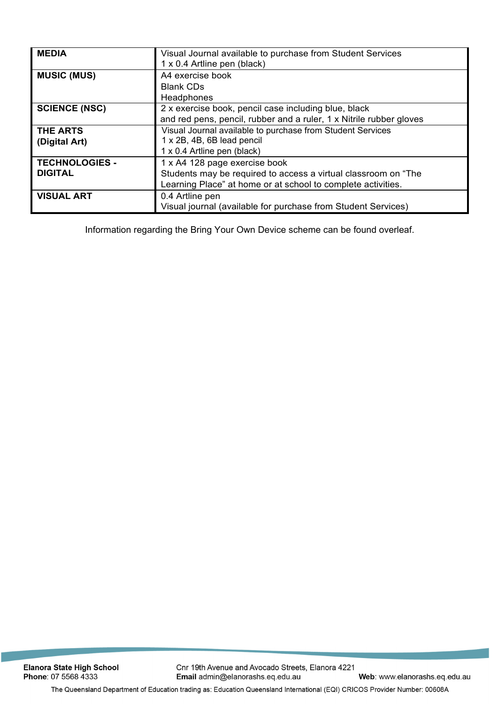| <b>MEDIA</b>          | Visual Journal available to purchase from Student Services          |  |
|-----------------------|---------------------------------------------------------------------|--|
|                       | 1 x 0.4 Artline pen (black)                                         |  |
| <b>MUSIC (MUS)</b>    | A4 exercise book                                                    |  |
|                       | <b>Blank CDs</b>                                                    |  |
|                       | Headphones                                                          |  |
| <b>SCIENCE (NSC)</b>  | 2 x exercise book, pencil case including blue, black                |  |
|                       | and red pens, pencil, rubber and a ruler, 1 x Nitrile rubber gloves |  |
| <b>THE ARTS</b>       | Visual Journal available to purchase from Student Services          |  |
| (Digital Art)         | 1 x 2B, 4B, 6B lead pencil                                          |  |
|                       | 1 x 0.4 Artline pen (black)                                         |  |
| <b>TECHNOLOGIES -</b> | 1 x A4 128 page exercise book                                       |  |
| <b>DIGITAL</b>        | Students may be required to access a virtual classroom on "The      |  |
|                       | Learning Place" at home or at school to complete activities.        |  |
| <b>VISUAL ART</b>     | 0.4 Artline pen                                                     |  |
|                       | Visual journal (available for purchase from Student Services)       |  |

Information regarding the Bring Your Own Device scheme can be found overleaf.

The Queensland Department of Education trading as: Education Queensland International (EQI) CRICOS Provider Number: 00608A